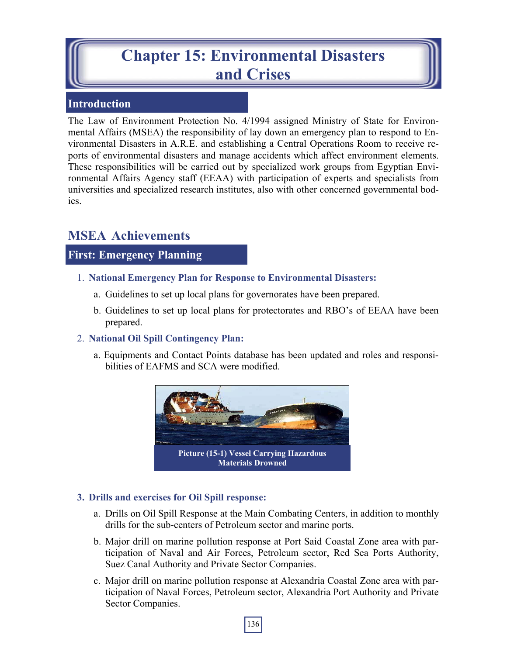# **Chapter 15: Environmental Disasters and Crises**

## **Introduction**

The Law of Environment Protection No. 4/1994 assigned Ministry of State for Environmental Affairs (MSEA) the responsibility of lay down an emergency plan to respond to Environmental Disasters in A.R.E. and establishing a Central Operations Room to receive reports of environmental disasters and manage accidents which affect environment elements. These responsibilities will be carried out by specialized work groups from Egyptian Environmental Affairs Agency staff (EEAA) with participation of experts and specialists from universities and specialized research institutes, also with other concerned governmental bodies.

## **MSEA Achievements**

## **First: Emergency Planning**

- 1. **National Emergency Plan for Response to Environmental Disasters:** 
	- a. Guidelines to set up local plans for governorates have been prepared.
	- b. Guidelines to set up local plans for protectorates and RBO's of EEAA have been prepared.

#### 2. **National Oil Spill Contingency Plan:**

a. Equipments and Contact Points database has been updated and roles and responsibilities of EAFMS and SCA were modified.



#### **3. Drills and exercises for Oil Spill response:**

- a. Drills on Oil Spill Response at the Main Combating Centers, in addition to monthly drills for the sub-centers of Petroleum sector and marine ports.
- b. Major drill on marine pollution response at Port Said Coastal Zone area with participation of Naval and Air Forces, Petroleum sector, Red Sea Ports Authority, Suez Canal Authority and Private Sector Companies.
- c. Major drill on marine pollution response at Alexandria Coastal Zone area with participation of Naval Forces, Petroleum sector, Alexandria Port Authority and Private Sector Companies.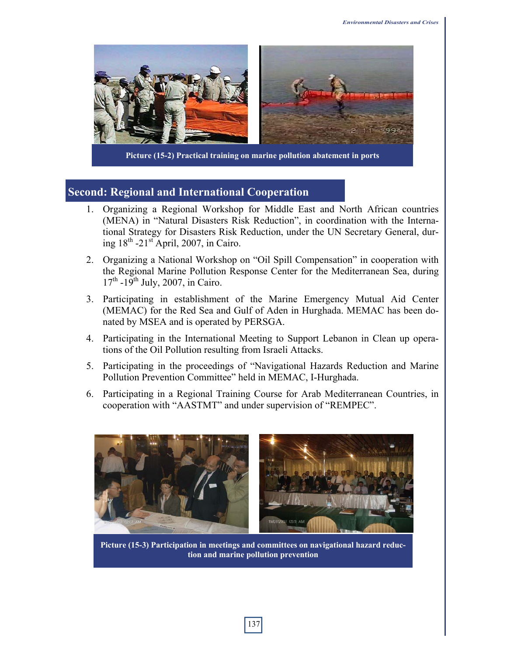

**Picture (15-2) Practical training on marine pollution abatement in ports**

#### **Second: Regional and International Cooperation**

- 1. Organizing a Regional Workshop for Middle East and North African countries (MENA) in "Natural Disasters Risk Reduction", in coordination with the International Strategy for Disasters Risk Reduction, under the UN Secretary General, during  $18<sup>th</sup> -21<sup>st</sup>$  April, 2007, in Cairo.
- 2. Organizing a National Workshop on "Oil Spill Compensation" in cooperation with the Regional Marine Pollution Response Center for the Mediterranean Sea, during  $17<sup>th</sup> -19<sup>th</sup>$  July, 2007, in Cairo.
- 3. Participating in establishment of the Marine Emergency Mutual Aid Center (MEMAC) for the Red Sea and Gulf of Aden in Hurghada. MEMAC has been donated by MSEA and is operated by PERSGA.
- 4. Participating in the International Meeting to Support Lebanon in Clean up operations of the Oil Pollution resulting from Israeli Attacks.
- 5. Participating in the proceedings of "Navigational Hazards Reduction and Marine Pollution Prevention Committee" held in MEMAC, I-Hurghada.
- 6. Participating in a Regional Training Course for Arab Mediterranean Countries, in cooperation with "AASTMT" and under supervision of "REMPEC".



**Picture (15-3) Participation in meetings and committees on navigational hazard reduction and marine pollution prevention**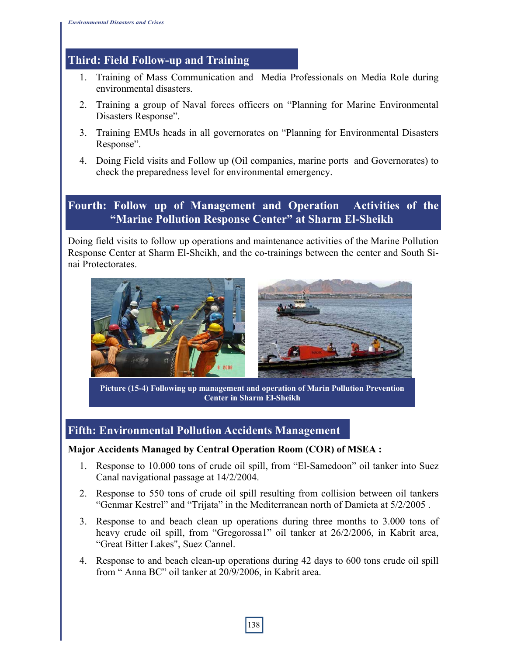## **Third: Field Follow-up and Training**

- 1. Training of Mass Communication and Media Professionals on Media Role during environmental disasters.
- 2. Training a group of Naval forces officers on "Planning for Marine Environmental Disasters Response".
- 3. Training EMUs heads in all governorates on "Planning for Environmental Disasters Response".
- 4. Doing Field visits and Follow up (Oil companies, marine ports and Governorates) to check the preparedness level for environmental emergency.

## **Fourth: Follow up of Management and Operation Activities of the "Marine Pollution Response Center" at Sharm El-Sheikh**

Doing field visits to follow up operations and maintenance activities of the Marine Pollution Response Center at Sharm El-Sheikh, and the co-trainings between the center and South Sinai Protectorates.



**Picture (15-4) Following up management and operation of Marin Pollution Prevention Center in Sharm El-Sheikh** 

## **Fifth: Environmental Pollution Accidents Management**

#### **Major Accidents Managed by Central Operation Room (COR) of MSEA :**

- 1. Response to 10.000 tons of crude oil spill, from "El-Samedoon" oil tanker into Suez Canal navigational passage at 14/2/2004.
- 2. Response to 550 tons of crude oil spill resulting from collision between oil tankers "Genmar Kestrel" and "Trijata" in the Mediterranean north of Damieta at 5/2/2005 .
- 3. Response to and beach clean up operations during three months to 3.000 tons of heavy crude oil spill, from "Gregorossa1" oil tanker at 26/2/2006, in Kabrit area, "Great Bitter Lakes", Suez Cannel.
- 4. Response to and beach clean-up operations during 42 days to 600 tons crude oil spill from " Anna BC" oil tanker at 20/9/2006, in Kabrit area.